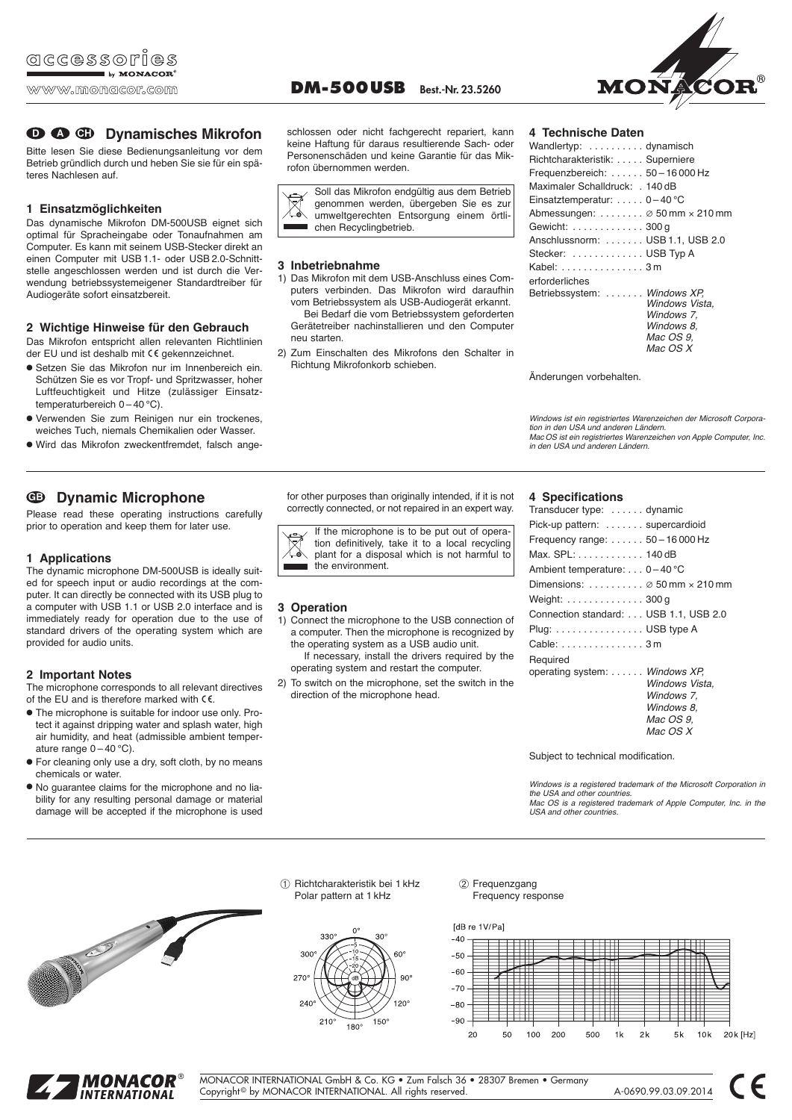# **D**  $\bullet$  **C** Dynamisches Mikrofon

Bitte lesen Sie diese Bedienungsanleitung vor dem Be trieb gründlich durch und heben Sie sie für ein späteres Nachlesen auf.

# **1 Einsatzmöglichkeiten**

Das dynamische Mikrofon DM-500USB eignet sich optimal für Spracheingabe oder Tonaufnahmen am Computer. Es kann mit seinem USB-Stecker direkt an einen Computer mit USB 1.1- oder USB 2.0-Schnittstelle angeschlossen werden und ist durch die Verwendung betriebssystemeigener Standardtreiber für Audiogeräte sofort einsatzbereit.

# **2 Wichtige Hinweise für den Gebrauch**

Das Mikrofon entspricht allen relevanten Richtlinien der EU und ist deshalb mit CE gekennzeichnet.

- Setzen Sie das Mikrofon nur im Innen bereich ein. Schützen Sie es vor Tropf- und Spritzwasser, hoher Luftfeuchtigkeit und Hitze (zulässiger Einsatztemperatur bereich  $0 - 40$  °C).
- Verwenden Sie zum Reinigen nur ein trockenes, weiches Tuch, niemals Chemikalien oder Wasser.
- Wird das Mikrofon zweckentfremdet, falsch an ge -

# **Dynamic Microphone GB**

Please read these operating instructions carefully prior to operation and keep them for later use.

# **1 Applications**

The dynamic microphone DM-500USB is ideally suited for speech input or audio recordings at the computer. It can directly be connected with its USB plug to a computer with USB 1.1 or USB 2.0 interface and is immediately ready for operation due to the use of standard drivers of the operating system which are provided for audio units.

# **2 Important Notes**

The microphone corresponds to all relevant directives of the EU and is therefore marked with  $\zeta \in$ .

- The microphone is suitable for indoor use only. Protect it against dripping water and splash water, high air humidity, and heat (admissible ambient temper ature range  $0 - 40$  °C).
- For cleaning only use a dry, soft cloth, by no means chemicals or water.
- No guarantee claims for the microphone and no liability for any resulting personal damage or material damage will be accepted if the microphone is used

schlossen oder nicht fachgerecht repariert, kann keine Haftung für daraus resultierende Sach- oder Personenschäden und keine Garantie für das Mikrofon übernommen werden.



# **3 Inbetriebnahme**

- 1) Das Mikrofon mit dem USB-Anschluss eines Computers verbinden. Das Mikrofon wird daraufhin vom Betriebssystem als USB-Audiogerät erkannt. Bei Bedarf die vom Betriebssystem geforderten Gerätetreiber nachinstallieren und den Computer
- neu starten. 2) Zum Einschalten des Mikrofons den Schalter in Richtung Mikrofonkorb schieben.

for other purposes than originally intended, if it is not correctly connected, or not repaired in an expert way.

If the microphone is to be put out of operation definitively, take it to a local recycling plant for a disposal which is not harmful to the environment.

# **3 Operation**

- 1) Connect the microphone to the USB connection of a computer. Then the microphone is recognized by the operating system as a USB audio unit. If necessary, install the drivers required by the operating system and restart the computer.
- 2) To switch on the microphone, set the switch in the direction of the microphone head.

# **4 Technische Daten**

| Wandlertyp: dynamisch                        |                |
|----------------------------------------------|----------------|
| Richtcharakteristik:  Superniere             |                |
| Frequenzbereich:  50-16 000 Hz               |                |
| Maximaler Schalldruck: . 140 dB              |                |
| Einsatztemperatur: $0-40^{\circ}$ C          |                |
| Abmessungen: $\oslash$ 50 mm $\times$ 210 mm |                |
| Gewicht:  300 g                              |                |
| Anschlussnorm:  USB 1.1, USB 2.0             |                |
| Stecker:  USB Typ A                          |                |
| Kabel: 3 m                                   |                |
| erforderliches                               |                |
| Betriebssystem:  Windows XP.                 |                |
|                                              | Windows Vista. |
|                                              | Windows 7,     |
|                                              | Windows 8.     |
|                                              | Mac OS 9.      |
|                                              | Mac OS X       |

Änderungen vorbehalten.

Windows ist ein registriertes Warenzeichen der Microsoft Corporation in den USA und anderen Ländern. Mac OS ist ein registriertes Warenzeichen von Apple Computer, Inc. in den USA und anderen Ländern.

### **4 Specifications**

| Transducer type:  dynamic                    |  |
|----------------------------------------------|--|
| Pick-up pattern:  supercardioid              |  |
| Frequency range: $\dots \dots 50 - 16000$ Hz |  |
| Max. SPL: 140 dB                             |  |
| Ambient temperature: $\ldots$ 0 – 40 °C      |  |
| Dimensions: $\oslash$ 50 mm $\times$ 210 mm  |  |
| Weight: 300 g                                |  |
| Connection standard: USB 1.1, USB 2.0        |  |
| Plug: USB type A                             |  |
| Cable: 3 m                                   |  |
| Required                                     |  |
| operating system:  Windows XP,               |  |
| Windows Vista.                               |  |
| Windows 7.                                   |  |
| Windows 8.                                   |  |
| <i>Mac OS 9.</i>                             |  |
| Mac OS X                                     |  |

Subject to technical modification.

Windows is a registered trademark of the Microsoft Corporation in the USA and other countries. Mac OS is a registered trademark of Apple Computer, Inc. in the USA and other countries.



➀ Richtcharakteristik bei 1 kHz ➁ Polar pattern at 1 kHz



Frequenzgang Frequency response





MONACOR INTERNATIONAL GmbH & Co. KG • Zum Falsch 36 • 28307 Bremen • Germany Copyright © by MONACOR INTERNATIONAL. All rights reserved. A-0690.99.03.09.2014

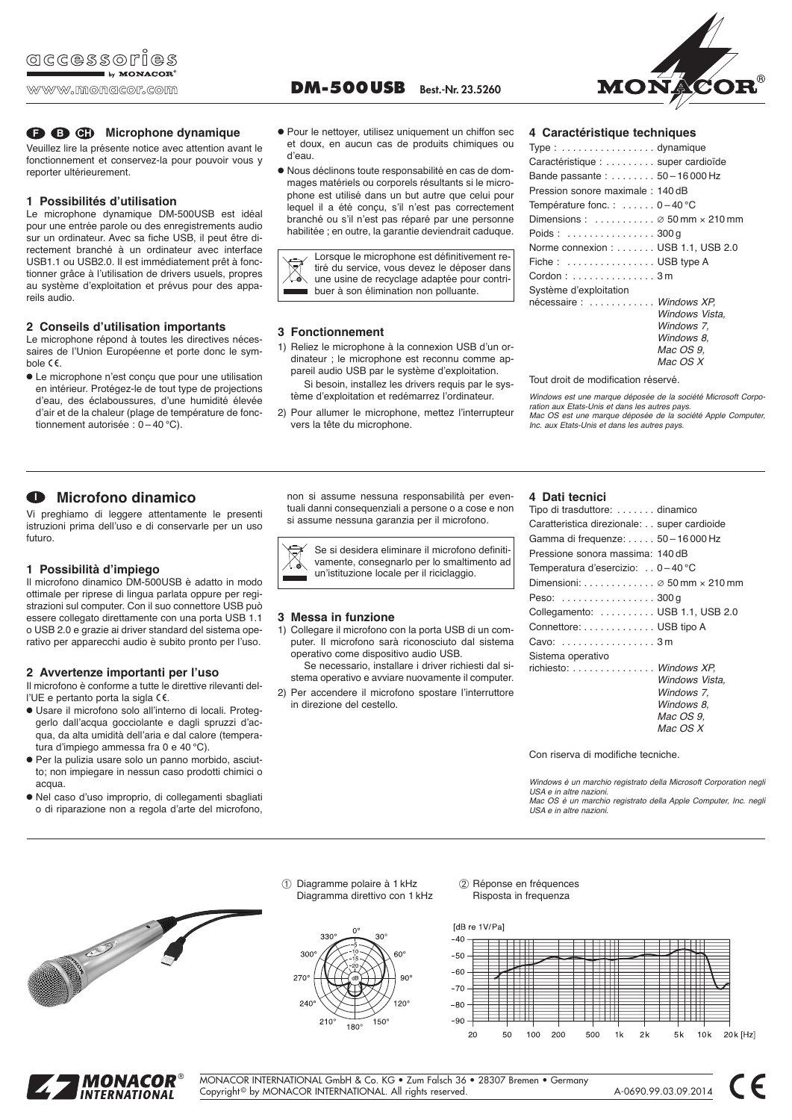# **B CH** Microphone dynamique

Veuillez lire la présente notice avec attention avant le fonctionnement et conservez-la pour pouvoir vous y reporter ultérieurement.

### **1 Possibilités d'utilisation**

Le microphone dynamique DM-500USB est idéal pour une entrée parole ou des enregistrements audio sur un ordinateur. Avec sa fiche USB, il peut être directement branché à un ordinateur avec interface USB1.1 ou USB2.0. Il est immédiatement prêt à fonctionner grâce à l'utilisation de drivers usuels, propres au système d'exploitation et prévus pour des appareils audio.

# **2 Conseils d'utilisation importants**

**Microfono dinamico I**

**1 Possibilità d'impiego**

futuro.

acqua.

Le microphone répond à toutes les directives nécessaires de l'Union Européenne et porte donc le symbole  $C \in$ .

● Le microphone n'est conçu que pour une utilisation en intérieur. Protégez-le de tout type de projections d'eau, des éclaboussures, d'une humidité élevée d'air et de la chaleur (plage de température de fonctionnement autorisée : 0 – 40 °C).

Vi preghiamo di leggere attentamente le presenti istruzioni prima dell'uso e di conservarle per un uso

Il microfono dinamico DM-500USB è adatto in modo ottimale per riprese di lingua parlata oppure per registrazioni sul computer. Con il suo connettore USB può essere collegato direttamente con una porta USB 1.1 o USB 2.0 e grazie ai driver standard del sistema operativo per apparecchi audio è subito pronto per l'uso.

● Usare il microfono solo all'interno di locali. Proteggerlo dall'acqua gocciolante e dagli spruzzi d'acqua, da alta umidità dell'aria e dal calore (tempera-

● Per la pulizia usare solo un panno morbido, asciut to; non impiegare in nessun caso prodotti chimici o

● Nel caso d'uso improprio, di collegamenti sbagliati o di riparazione non a regola d'arte del microfono,

**2 Avvertenze importanti per l'uso** Il microfono è conforme a tutte le direttive rilevanti del-

tura d'impiego ammessa fra 0 e 40 °C).

l'UE e pertanto porta la sigla CE.

**DM-500USB Best.-Nr. 23.5260** 



Type : . . . . . . . . . . . . . . . . . dynamique Caractéristique : . . . . . . . . . super cardioïde Bande passante : . . . . . . . . 50 – 16 000 Hz Pression sonore maximale : 140 dB Température fonc. : . . . . . . 0-40 °C

Poids : . . . . . . . . . . . . . . . . 300 g

Tout droit de modification réservé.

Inc. aux Etats-Unis et dans les autres pays.

Dimensions : . . . . . . . . . . . ∅ 50 mm × 210 mm

Norme connexion : . . . . . . . USB 1.1, USB 2.0 Fiche : ............... USB type A Cordon : . . . . . . . . . . . . . . . 3 m Système d'exploitation

Windows est une marque déposée de la société Microsoft Corporation aux Etats-Unis et dans les autres pays. Mac OS est une marque déposée de la société Apple Computer,

nécessaire : . . . . . . . . . . . . Windows XP,

- et doux, en aucun cas de produits chimiques ou d'eau. ● Nous déclinons toute responsabilité en cas de dommages matériels ou corporels résultants si le microphone est utilisé dans un but autre que celui pour
- lequel il a été conçu, s'il n'est pas correctement branché ou s'il n'est pas réparé par une personne habilitée ; en outre, la garantie deviendrait caduque.

Lorsque le microphone est définitivement retiré du service, vous devez le déposer dans une usine de recyclage adaptée pour contribuer à son élimination non polluante.

#### **3 Fonctionnement**

- 1) Reliez le microphone à la connexion USB d'un ordinateur ; le microphone est reconnu comme appareil audio USB par le système d'exploitation. Si besoin, installez les drivers requis par le sys
	- tème d'exploitation et redémarrez l'ordinateur.
- 2) Pour allumer le microphone, mettez l'interrupteur vers la tête du microphone.

non si assume nessuna responsabilità per eventuali danni consequenziali a persone o a cose e non si assume nessuna garanzia per il microfono.

Se si desidera eliminare il microfono definitivamente, consegnarlo per lo smaltimento ad un'istituzione locale per il riciclaggio.

#### **3 Messa in funzione**

1) Collegare il microfono con la porta USB di un computer. Il microfono sarà riconosciuto dal sistema operativo come dispositivo audio USB. Se necessario, installare i driver richiesti dal si-

stema operativo e avviare nuovamente il computer.

2) Per accendere il microfono spostare l'interruttore in direzione del cestello.

#### **4 Dati tecnici**

| Tipo di trasduttore:  dinamico                                          |                  |
|-------------------------------------------------------------------------|------------------|
| Caratteristica direzionale: super cardioide                             |                  |
| Gamma di frequenze: 50 - 16 000 Hz                                      |                  |
| Pressione sonora massima: 140 dB                                        |                  |
| Temperatura d'esercizio: 0-40 °C                                        |                  |
| Dimensioni: $\ldots \ldots \ldots \ldots \otimes 50$ mm $\times$ 210 mm |                  |
| Peso:  300 g                                                            |                  |
| Collegamento: USB 1.1, USB 2.0                                          |                  |
| Connettore: USB tipo A                                                  |                  |
| Cavo: $\ldots \ldots \ldots \ldots \ldots 3$ m                          |                  |
| Sistema operativo                                                       |                  |
| richiesto:  Windows XP.                                                 |                  |
|                                                                         | Windows Vista.   |
|                                                                         | Windows 7.       |
|                                                                         | Windows 8.       |
|                                                                         | <i>Mac OS 9.</i> |
|                                                                         | Mac OS X         |

Con riserva di modifiche tecniche.

Windows è un marchio registrato della Microsoft Corporation negli USA e in altre nazioni. Mac OS è un marchio registrato della Apple Computer, Inc. negli USA e in altre nazioni.





➀ Diagramme polaire à 1 kHz ➁



Réponse en fréquences Risposta in frequenza





MONACOR INTERNATIONAL GmbH & Co. KG • Zum Falsch 36 • 28307 Bremen • Germany Copyright © by MONACOR INTERNATIONAL. All rights reserved. A-0690.99.03.09.2014





Windows Vista, Windows<sub>7</sub> Windows 8. Mac OS 9, Mac OS X